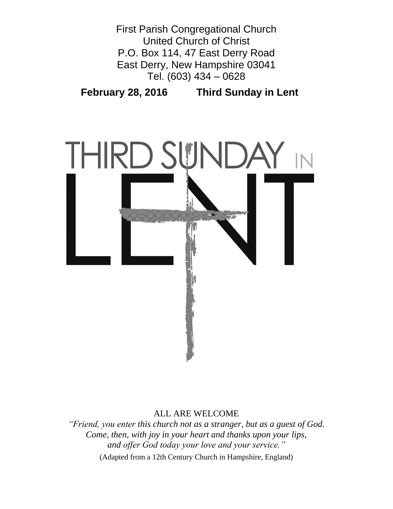



# ALL ARE WELCOME

*"Friend, you enter this church not as a stranger, but as a guest of God. Come, then, with joy in your heart and thanks upon your lips, and offer God today your love and your service."* (Adapted from a 12th Century Church in Hampshire, England)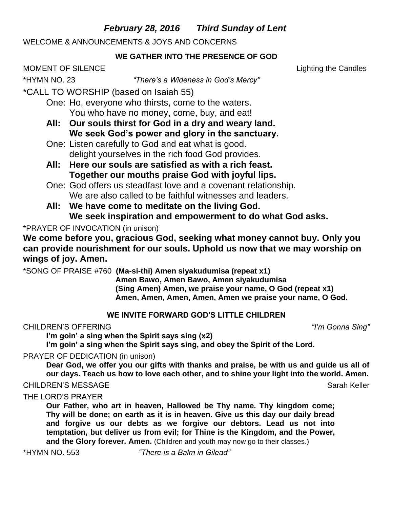# *February 28, 2016 Third Sunday of Lent*

WELCOME & ANNOUNCEMENTS & JOYS AND CONCERNS

# **WE GATHER INTO THE PRESENCE OF GOD**

MOMENT OF SILENCE Lighting the Candles

\*HYMN NO. 23 *"There's a Wideness in God's Mercy"*

\*CALL TO WORSHIP (based on Isaiah 55)

- One: Ho, everyone who thirsts, come to the waters. You who have no money, come, buy, and eat!
- **All: Our souls thirst for God in a dry and weary land. We seek God's power and glory in the sanctuary.**
- One: Listen carefully to God and eat what is good. delight yourselves in the rich food God provides.
- **All: Here our souls are satisfied as with a rich feast. Together our mouths praise God with joyful lips.**
- One: God offers us steadfast love and a covenant relationship. We are also called to be faithful witnesses and leaders.
- **All: We have come to meditate on the living God. We seek inspiration and empowerment to do what God asks.**

# \*PRAYER OF INVOCATION (in unison)

**We come before you, gracious God, seeking what money cannot buy. Only you can provide nourishment for our souls. Uphold us now that we may worship on wings of joy. Amen.**

\*SONG OF PRAISE #760 **(Ma-si-thi) Amen siyakudumisa (repeat x1)**

**Amen Bawo, Amen Bawo, Amen siyakudumisa (Sing Amen) Amen, we praise your name, O God (repeat x1) Amen, Amen, Amen, Amen, Amen we praise your name, O God.**

# **WE INVITE FORWARD GOD'S LITTLE CHILDREN**

# CHILDREN'S OFFERING *"I'm Gonna Sing"*

**I'm goin' a sing when the Spirit says sing (x2)**

**I'm goin' a sing when the Spirit says sing, and obey the Spirit of the Lord.**

# PRAYER OF DEDICATION (in unison)

**Dear God, we offer you our gifts with thanks and praise, be with us and guide us all of our days. Teach us how to love each other, and to shine your light into the world. Amen.**

# CHILDREN'S MESSAGE Sarah Keller

# THE LORD'S PRAYER

**Our Father, who art in heaven, Hallowed be Thy name. Thy kingdom come; Thy will be done; on earth as it is in heaven. Give us this day our daily bread and forgive us our debts as we forgive our debtors. Lead us not into temptation, but deliver us from evil; for Thine is the Kingdom, and the Power, and the Glory forever. Amen.** (Children and youth may now go to their classes.)

\*HYMN NO. 553 *"There is a Balm in Gilead"*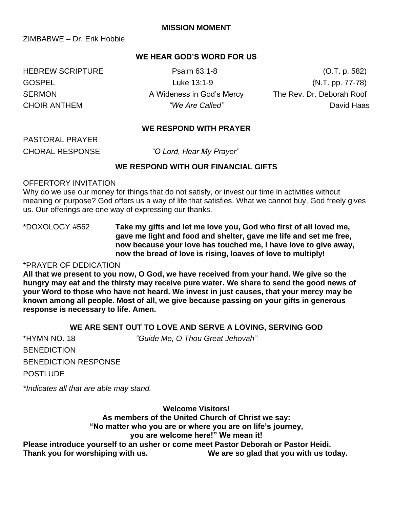ZIMBABWE – Dr. Erik Hobbie

## **WE HEAR GOD'S WORD FOR US**

GOSPEL Luke 13:1-9 Luke 13:1-9 (N.T. pp. 77-78) SERMON **A Wideness in God's Mercy** The Rev. Dr. Deborah Roof CHOIR ANTHEM *"We Are Called"* David Haas

HEBREW SCRIPTURE Psalm 63:1-8 (O.T. p. 582)

## **WE RESPOND WITH PRAYER**

PASTORAL PRAYER

CHORAL RESPONSE *"O Lord, Hear My Prayer"* 

## **WE RESPOND WITH OUR FINANCIAL GIFTS**

## OFFERTORY INVITATION

Why do we use our money for things that do not satisfy, or invest our time in activities without meaning or purpose? God offers us a way of life that satisfies. What we cannot buy, God freely gives us. Our offerings are one way of expressing our thanks.

\*DOXOLOGY #562 **Take my gifts and let me love you, God who first of all loved me, gave me light and food and shelter, gave me life and set me free, now because your love has touched me, I have love to give away, now the bread of love is rising, loaves of love to multiply!**

## \*PRAYER OF DEDICATION

**All that we present to you now, O God, we have received from your hand. We give so the hungry may eat and the thirsty may receive pure water. We share to send the good news of your Word to those who have not heard. We invest in just causes, that your mercy may be known among all people. Most of all, we give because passing on your gifts in generous response is necessary to life. Amen.**

## **WE ARE SENT OUT TO LOVE AND SERVE A LOVING, SERVING GOD**

| *HYMN NO. 18                | "Guide Me, O Thou Great Jehovah" |
|-----------------------------|----------------------------------|
| <b>BENEDICTION</b>          |                                  |
| <b>BENEDICTION RESPONSE</b> |                                  |
| <b>POSTLUDE</b>             |                                  |

*\*Indicates all that are able may stand.*

**Welcome Visitors!**

**As members of the United Church of Christ we say:** 

**"No matter who you are or where you are on life's journey,** 

### **you are welcome here!" We mean it!**

**Please introduce yourself to an usher or come meet Pastor Deborah or Pastor Heidi. Thank you for worshiping with us. We are so glad that you with us today.**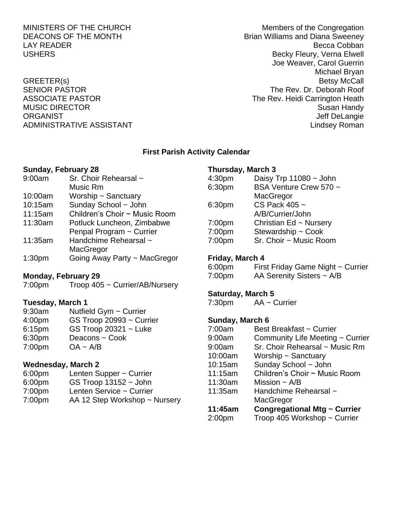MINISTERS OF THE CHURCH MINISTERS OF THE CHURCH DEACONS OF THE MONTH BRIAN BRIAN BRIAN BRIAN BRIAN BRIAN BRIAN BRIAN BRIAN BRIAN BRIAN BRIAN BRIAN BRIAN BRIAN B LAY READER **EXAMPLE 2008 LAY READER Becca Cobban** USHERS **Becky Fleury, Verna Elwell** Joe Weaver, Carol Guerrin Michael Bryan GREETER(s) Betsy McCall SENIOR PASTOR THE REV. Dr. Deborah Roof ASSOCIATE PASTOR **The Rev. Heidi Carrington Heath** MUSIC DIRECTOR Susan Handy ORGANIST NEWSTAND ORGANIST CONSTRUCTED AND THE SERVICE OF STATE OF STATE OF STATE OF STATE OF STATE OF STATE O ADMINISTRATIVE ASSISTANT AND ALL THE LINDS OF A LINDS AND MINISTRATIVE ASSISTANT

## **First Parish Activity Calendar**

#### **Sunday, February 28**

| 9:00am             | Sr. Choir Rehearsal ~         |
|--------------------|-------------------------------|
|                    | Music Rm                      |
| 10:00am            | Worship $\sim$ Sanctuary      |
| 10:15am            | Sunday School ~ John          |
| 11:15am            | Children's Choir ~ Music Room |
| 11:30am            | Potluck Luncheon, Zimbabwe    |
|                    | Penpal Program ~ Currier      |
| 11:35am            | Handchime Rehearsal ~         |
|                    | MacGregor                     |
| 1:30 <sub>pm</sub> | Going Away Party ~ MacGregor  |
|                    |                               |

## **Monday, February 29**

7:00pm Troop 405 ~ Currier/AB/Nursery

### **Tuesday, March 1**

| 9:30am | Nutfield Gym ~ Currier   |
|--------|--------------------------|
| 4:00pm | GS Troop 20993 ~ Currier |
| 6:15pm | GS Troop $20321 -$ Luke  |
| 6:30pm | Deacons ~ Cook           |
| 7:00pm | $OA - A/B$               |
|        |                          |

## **Wednesday, March 2**

- 6:00pm Lenten Supper ~ Currier
- 6:00pm GS Troop 13152 ~ John
- 7:00pm Lenten Service ~ Currier
- 7:00pm AA 12 Step Workshop ~ Nursery

### **Thursday, March 3**

| 4:30pm | Daisy Trp $11080 \sim$ John |
|--------|-----------------------------|
| 6:30pm | BSA Venture Crew 570 ~      |
|        | MacGregor                   |
| 6:30pm | CS Pack 405 ~               |
|        | A/B/Currier/John            |
| 7:00pm | Christian Ed ~ Nursery      |
| 7:00pm | Stewardship ~ Cook          |
| 7:00pm | Sr. Choir ~ Music Room      |

#### **Friday, March 4**

| 6:00 <sub>pm</sub> | First Friday Game Night ~ Currier |
|--------------------|-----------------------------------|
| 7:00 <sub>pm</sub> | AA Serenity Sisters $\sim$ A/B    |

## **Saturday, March 5**

| 7:30pm | $AA \sim$ Currier |
|--------|-------------------|

## **Sunday, March 6**

| 7:00am             | Best Breakfast ~ Currier            |
|--------------------|-------------------------------------|
| 9:00am             | Community Life Meeting ~ Currier    |
| 9:00am             | Sr. Choir Rehearsal ~ Music Rm      |
| 10:00am            | Worship $\sim$ Sanctuary            |
| 10:15am            | Sunday School ~ John                |
| 11:15am            | Children's Choir ~ Music Room       |
| 11:30am            | Mission $\sim$ A/B                  |
| 11:35am            | Handchime Rehearsal ~               |
|                    | MacGregor                           |
| 11:45am            | <b>Congregational Mtg ~ Currier</b> |
| 2:00 <sub>pm</sub> | Troop 405 Workshop ~ Currier        |
|                    |                                     |